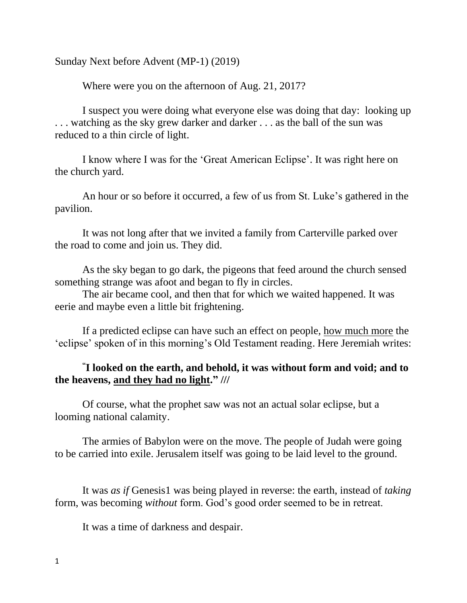Sunday Next before Advent (MP-1) (2019)

Where were you on the afternoon of Aug. 21, 2017?

I suspect you were doing what everyone else was doing that day: looking up . . . watching as the sky grew darker and darker . . . as the ball of the sun was reduced to a thin circle of light.

I know where I was for the 'Great American Eclipse'. It was right here on the church yard.

An hour or so before it occurred, a few of us from St. Luke's gathered in the pavilion.

It was not long after that we invited a family from Carterville parked over the road to come and join us. They did.

As the sky began to go dark, the pigeons that feed around the church sensed something strange was afoot and began to fly in circles.

The air became cool, and then that for which we waited happened. It was eerie and maybe even a little bit frightening.

If a predicted eclipse can have such an effect on people, how much more the 'eclipse' spoken of in this morning's Old Testament reading. Here Jeremiah writes:

# **" I looked on the earth, and behold, it was without form and void; and to the heavens, and they had no light." ///**

Of course, what the prophet saw was not an actual solar eclipse, but a looming national calamity.

The armies of Babylon were on the move. The people of Judah were going to be carried into exile. Jerusalem itself was going to be laid level to the ground.

It was *as if* Genesis1 was being played in reverse: the earth, instead of *taking* form, was becoming *without* form. God's good order seemed to be in retreat.

It was a time of darkness and despair.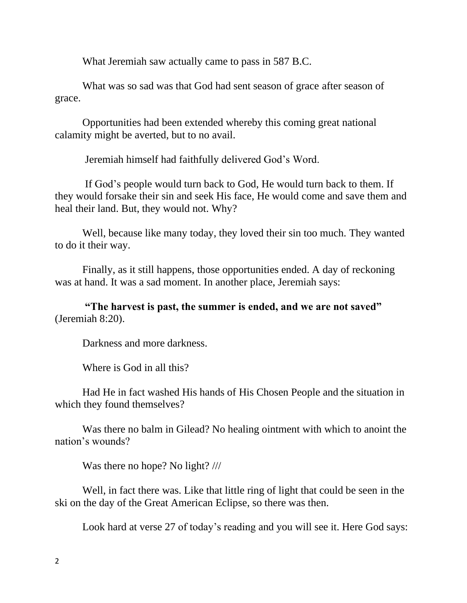What Jeremiah saw actually came to pass in 587 B.C.

What was so sad was that God had sent season of grace after season of grace.

Opportunities had been extended whereby this coming great national calamity might be averted, but to no avail.

Jeremiah himself had faithfully delivered God's Word.

If God's people would turn back to God, He would turn back to them. If they would forsake their sin and seek His face, He would come and save them and heal their land. But, they would not. Why?

Well, because like many today, they loved their sin too much. They wanted to do it their way.

Finally, as it still happens, those opportunities ended. A day of reckoning was at hand. It was a sad moment. In another place, Jeremiah says:

**"The harvest is past, the summer is ended, and we are not saved"** (Jeremiah 8:20).

Darkness and more darkness.

Where is God in all this?

Had He in fact washed His hands of His Chosen People and the situation in which they found themselves?

Was there no balm in Gilead? No healing ointment with which to anoint the nation's wounds?

Was there no hope? No light? ///

Well, in fact there was. Like that little ring of light that could be seen in the ski on the day of the Great American Eclipse, so there was then.

Look hard at verse 27 of today's reading and you will see it. Here God says: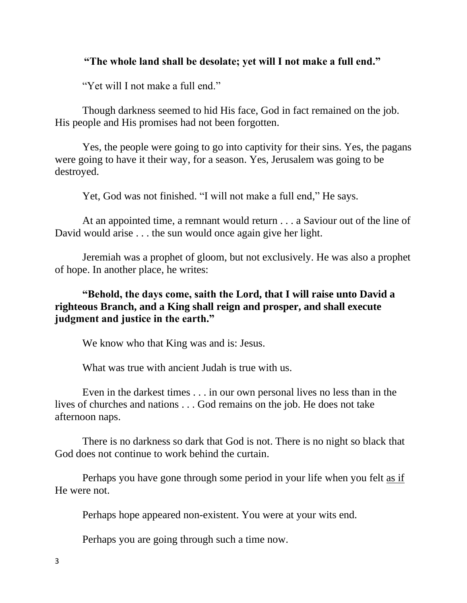#### **"The whole land shall be desolate; yet will I not make a full end."**

"Yet will I not make a full end."

Though darkness seemed to hid His face, God in fact remained on the job. His people and His promises had not been forgotten.

Yes, the people were going to go into captivity for their sins. Yes, the pagans were going to have it their way, for a season. Yes, Jerusalem was going to be destroyed.

Yet, God was not finished. "I will not make a full end," He says.

At an appointed time, a remnant would return . . . a Saviour out of the line of David would arise . . . the sun would once again give her light.

Jeremiah was a prophet of gloom, but not exclusively. He was also a prophet of hope. In another place, he writes:

## **"Behold, the days come, saith the Lord, that I will raise unto David a righteous Branch, and a King shall reign and prosper, and shall execute judgment and justice in the earth."**

We know who that King was and is: Jesus.

What was true with ancient Judah is true with us.

Even in the darkest times . . . in our own personal lives no less than in the lives of churches and nations . . . God remains on the job. He does not take afternoon naps.

There is no darkness so dark that God is not. There is no night so black that God does not continue to work behind the curtain.

Perhaps you have gone through some period in your life when you felt as if He were not.

Perhaps hope appeared non-existent. You were at your wits end.

Perhaps you are going through such a time now.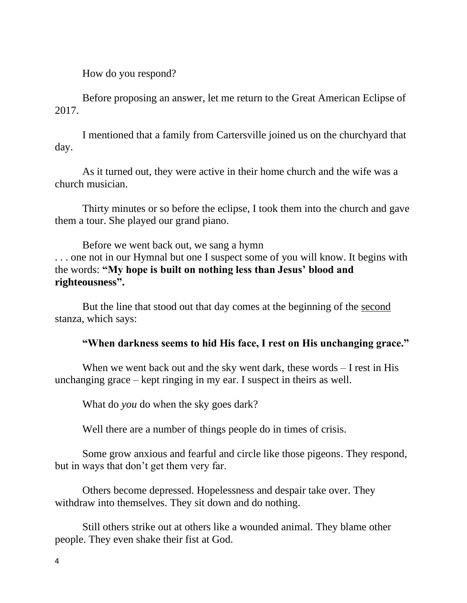How do you respond?

Before proposing an answer, let me return to the Great American Eclipse of 2017.

I mentioned that a family from Cartersville joined us on the churchyard that day.

As it turned out, they were active in their home church and the wife was a church musician.

Thirty minutes or so before the eclipse, I took them into the church and gave them a tour. She played our grand piano.

Before we went back out, we sang a hymn . . . one not in our Hymnal but one I suspect some of you will know. It begins with the words: **"My hope is built on nothing less than Jesus' blood and righteousness".** 

But the line that stood out that day comes at the beginning of the second stanza, which says:

### **"When darkness seems to hid His face, I rest on His unchanging grace."**

When we went back out and the sky went dark, these words – I rest in His unchanging grace – kept ringing in my ear. I suspect in theirs as well.

What do *you* do when the sky goes dark?

Well there are a number of things people do in times of crisis.

Some grow anxious and fearful and circle like those pigeons. They respond, but in ways that don't get them very far.

Others become depressed. Hopelessness and despair take over. They withdraw into themselves. They sit down and do nothing.

Still others strike out at others like a wounded animal. They blame other people. They even shake their fist at God.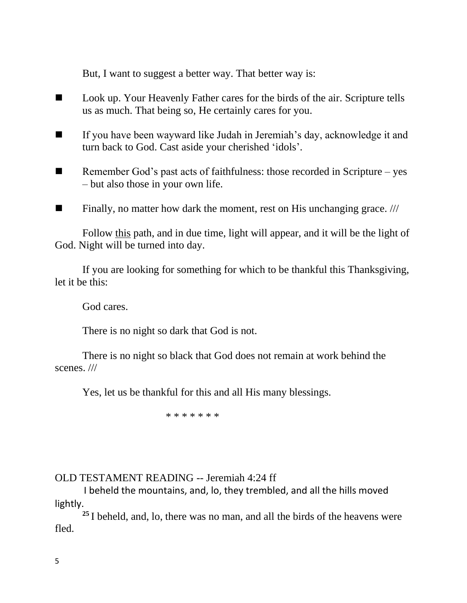But, I want to suggest a better way. That better way is:

- Look up. Your Heavenly Father cares for the birds of the air. Scripture tells us as much. That being so, He certainly cares for you.
- If you have been wayward like Judah in Jeremiah's day, acknowledge it and turn back to God. Cast aside your cherished 'idols'.
- $\blacksquare$  Remember God's past acts of faithfulness: those recorded in Scripture yes – but also those in your own life.
- $\blacksquare$  Finally, no matter how dark the moment, rest on His unchanging grace. ///

Follow this path, and in due time, light will appear, and it will be the light of God. Night will be turned into day.

If you are looking for something for which to be thankful this Thanksgiving, let it be this:

God cares.

There is no night so dark that God is not.

There is no night so black that God does not remain at work behind the scenes. ///

Yes, let us be thankful for this and all His many blessings.

\* \* \* \* \* \* \*

### OLD TESTAMENT READING -- Jeremiah 4:24 ff

I beheld the mountains, and, lo, they trembled, and all the hills moved lightly.

**<sup>25</sup>** I beheld, and, lo, there was no man, and all the birds of the heavens were fled.